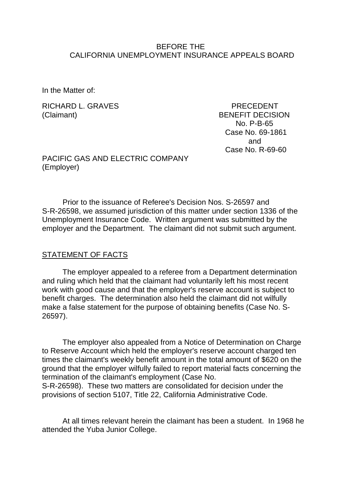### BEFORE THE CALIFORNIA UNEMPLOYMENT INSURANCE APPEALS BOARD

In the Matter of:

RICHARD L. GRAVES PRECEDENT (Claimant) BENEFIT DECISION

 No. P-B-65 Case No. 69-1861 and Case No. R-69-60

PACIFIC GAS AND ELECTRIC COMPANY (Employer)

Prior to the issuance of Referee's Decision Nos. S-26597 and S-R-26598, we assumed jurisdiction of this matter under section 1336 of the Unemployment Insurance Code. Written argument was submitted by the employer and the Department. The claimant did not submit such argument.

#### STATEMENT OF FACTS

The employer appealed to a referee from a Department determination and ruling which held that the claimant had voluntarily left his most recent work with good cause and that the employer's reserve account is subject to benefit charges. The determination also held the claimant did not wilfully make a false statement for the purpose of obtaining benefits (Case No. S-26597).

The employer also appealed from a Notice of Determination on Charge to Reserve Account which held the employer's reserve account charged ten times the claimant's weekly benefit amount in the total amount of \$620 on the ground that the employer wilfully failed to report material facts concerning the termination of the claimant's employment (Case No.

S-R-26598). These two matters are consolidated for decision under the provisions of section 5107, Title 22, California Administrative Code.

At all times relevant herein the claimant has been a student. In 1968 he attended the Yuba Junior College.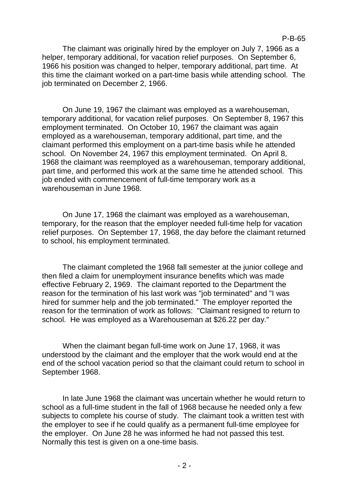The claimant was originally hired by the employer on July 7, 1966 as a helper, temporary additional, for vacation relief purposes. On September 6, 1966 his position was changed to helper, temporary additional, part time. At this time the claimant worked on a part-time basis while attending school. The job terminated on December 2, 1966.

On June 19, 1967 the claimant was employed as a warehouseman, temporary additional, for vacation relief purposes. On September 8, 1967 this employment terminated. On October 10, 1967 the claimant was again employed as a warehouseman, temporary additional, part time, and the claimant performed this employment on a part-time basis while he attended school. On November 24, 1967 this employment terminated. On April 8, 1968 the claimant was reemployed as a warehouseman, temporary additional, part time, and performed this work at the same time he attended school. This job ended with commencement of full-time temporary work as a warehouseman in June 1968.

On June 17, 1968 the claimant was employed as a warehouseman, temporary, for the reason that the employer needed full-time help for vacation relief purposes. On September 17, 1968, the day before the claimant returned to school, his employment terminated.

The claimant completed the 1968 fall semester at the junior college and then filed a claim for unemployment insurance benefits which was made effective February 2, 1969. The claimant reported to the Department the reason for the termination of his last work was "job terminated" and "I was hired for summer help and the job terminated." The employer reported the reason for the termination of work as follows: "Claimant resigned to return to school. He was employed as a Warehouseman at \$26.22 per day."

When the claimant began full-time work on June 17, 1968, it was understood by the claimant and the employer that the work would end at the end of the school vacation period so that the claimant could return to school in September 1968.

In late June 1968 the claimant was uncertain whether he would return to school as a full-time student in the fall of 1968 because he needed only a few subjects to complete his course of study. The claimant took a written test with the employer to see if he could qualify as a permanent full-time employee for the employer. On June 28 he was informed he had not passed this test. Normally this test is given on a one-time basis.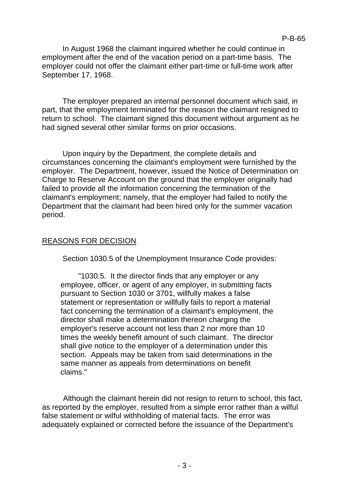In August 1968 the claimant inquired whether he could continue in employment after the end of the vacation period on a part-time basis. The employer could not offer the claimant either part-time or full-time work after September 17, 1968.

The employer prepared an internal personnel document which said, in part, that the employment terminated for the reason the claimant resigned to return to school. The claimant signed this document without argument as he had signed several other similar forms on prior occasions.

Upon inquiry by the Department, the complete details and circumstances concerning the claimant's employment were furnished by the employer. The Department, however, issued the Notice of Determination on Charge to Reserve Account on the ground that the employer originally had failed to provide all the information concerning the termination of the claimant's employment; namely, that the employer had failed to notify the Department that the claimant had been hired only for the summer vacation period.

## REASONS FOR DECISION

Section 1030.5 of the Unemployment Insurance Code provides:

"1030.5. It the director finds that any employer or any employee, officer, or agent of any employer, in submitting facts pursuant to Section 1030 or 3701, willfully makes a false statement or representation or willfully fails to report a material fact concerning the termination of a claimant's employment, the director shall make a determination thereon charging the employer's reserve account not less than 2 nor more than 10 times the weekly benefit amount of such claimant. The director shall give notice to the employer of a determination under this section. Appeals may be taken from said determinations in the same manner as appeals from determinations on benefit claims."

Although the claimant herein did not resign to return to school, this fact, as reported by the employer, resulted from a simple error rather than a wilful false statement or wilful withholding of material facts. The error was adequately explained or corrected before the issuance of the Department's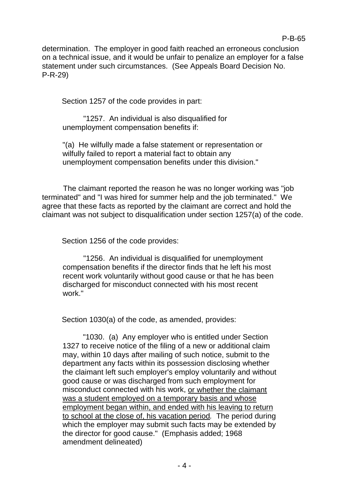determination. The employer in good faith reached an erroneous conclusion on a technical issue, and it would be unfair to penalize an employer for a false statement under such circumstances. (See Appeals Board Decision No. P-R-29)

Section 1257 of the code provides in part:

"1257. An individual is also disqualified for unemployment compensation benefits if:

"(a) He wilfully made a false statement or representation or wilfully failed to report a material fact to obtain any unemployment compensation benefits under this division."

The claimant reported the reason he was no longer working was "job terminated" and "I was hired for summer help and the job terminated." We agree that these facts as reported by the claimant are correct and hold the claimant was not subject to disqualification under section 1257(a) of the code.

Section 1256 of the code provides:

"1256. An individual is disqualified for unemployment compensation benefits if the director finds that he left his most recent work voluntarily without good cause or that he has been discharged for misconduct connected with his most recent work."

Section 1030(a) of the code, as amended, provides:

"1030. (a) Any employer who is entitled under Section 1327 to receive notice of the filing of a new or additional claim may, within 10 days after mailing of such notice, submit to the department any facts within its possession disclosing whether the claimant left such employer's employ voluntarily and without good cause or was discharged from such employment for misconduct connected with his work, or whether the claimant was a student employed on a temporary basis and whose employment began within, and ended with his leaving to return to school at the close of, his vacation period*.* The period during which the employer may submit such facts may be extended by the director for good cause." (Emphasis added; 1968 amendment delineated)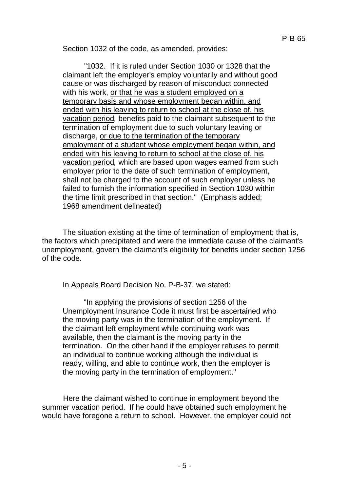Section 1032 of the code, as amended, provides:

"1032. If it is ruled under Section 1030 or 1328 that the claimant left the employer's employ voluntarily and without good cause or was discharged by reason of misconduct connected with his work, or that he was a student employed on a temporary basis and whose employment began within, and ended with his leaving to return to school at the close of, his vacation period*,* benefits paid to the claimant subsequent to the termination of employment due to such voluntary leaving or discharge, or due to the termination of the temporary employment of a student whose employment began within, and ended with his leaving to return to school at the close of, his vacation period*,* which are based upon wages earned from such employer prior to the date of such termination of employment, shall not be charged to the account of such employer unless he failed to furnish the information specified in Section 1030 within the time limit prescribed in that section." (Emphasis added; 1968 amendment delineated)

The situation existing at the time of termination of employment; that is, the factors which precipitated and were the immediate cause of the claimant's unemployment, govern the claimant's eligibility for benefits under section 1256 of the code.

In Appeals Board Decision No. P-B-37, we stated:

"In applying the provisions of section 1256 of the Unemployment Insurance Code it must first be ascertained who the moving party was in the termination of the employment. If the claimant left employment while continuing work was available, then the claimant is the moving party in the termination. On the other hand if the employer refuses to permit an individual to continue working although the individual is ready, willing, and able to continue work, then the employer is the moving party in the termination of employment."

Here the claimant wished to continue in employment beyond the summer vacation period. If he could have obtained such employment he would have foregone a return to school. However, the employer could not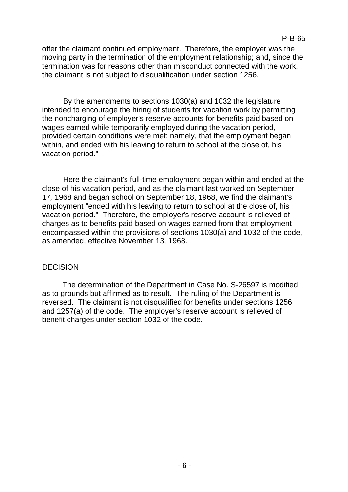offer the claimant continued employment. Therefore, the employer was the moving party in the termination of the employment relationship; and, since the termination was for reasons other than misconduct connected with the work, the claimant is not subject to disqualification under section 1256.

By the amendments to sections 1030(a) and 1032 the legislature intended to encourage the hiring of students for vacation work by permitting the noncharging of employer's reserve accounts for benefits paid based on wages earned while temporarily employed during the vacation period, provided certain conditions were met; namely, that the employment began within, and ended with his leaving to return to school at the close of, his vacation period."

Here the claimant's full-time employment began within and ended at the close of his vacation period, and as the claimant last worked on September 17*,* 1968 and began school on September 18, 1968, we find the claimant's employment "ended with his leaving to return to school at the close of, his vacation period." Therefore, the employer's reserve account is relieved of charges as to benefits paid based on wages earned from that employment encompassed within the provisions of sections 1030(a) and 1032 of the code, as amended, effective November 13, 1968.

### DECISION

The determination of the Department in Case No. S-26597 is modified as to grounds but affirmed as to result. The ruling of the Department is reversed. The claimant is not disqualified for benefits under sections 1256 and 1257(a) of the code. The employer's reserve account is relieved of benefit charges under section 1032 of the code.